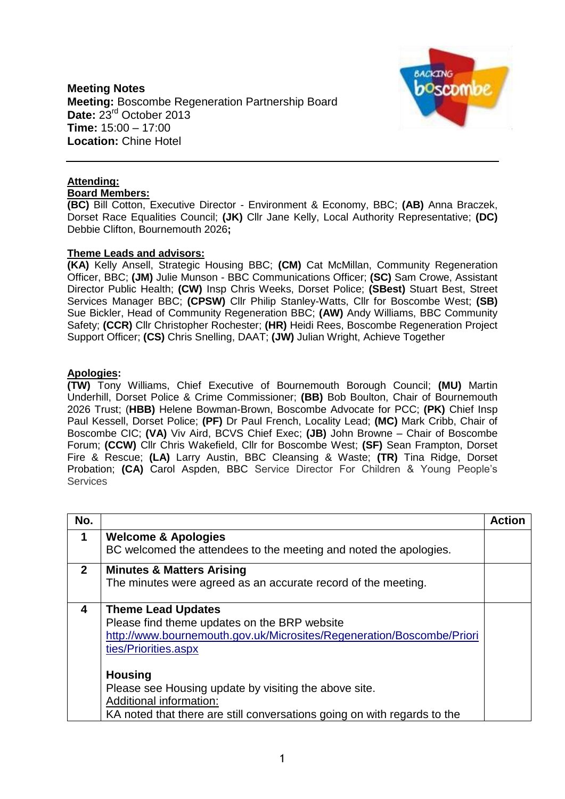**Meeting Notes Meeting:** Boscombe Regeneration Partnership Board Date: 23<sup>rd</sup> October 2013 **Time:** 15:00 – 17:00 **Location:** Chine Hotel



# **Attending:**

**Board Members:**

**(BC)** Bill Cotton, Executive Director - Environment & Economy, BBC; **(AB)** Anna Braczek, Dorset Race Equalities Council; **(JK)** Cllr Jane Kelly, Local Authority Representative; **(DC)** Debbie Clifton, Bournemouth 2026**;**

### **Theme Leads and advisors:**

**(KA)** Kelly Ansell, Strategic Housing BBC; **(CM)** Cat McMillan, Community Regeneration Officer, BBC; **(JM)** Julie Munson - BBC Communications Officer; **(SC)** Sam Crowe, Assistant Director Public Health; **(CW)** Insp Chris Weeks, Dorset Police; **(SBest)** Stuart Best, Street Services Manager BBC; **(CPSW)** Cllr Philip Stanley-Watts, Cllr for Boscombe West; **(SB)** Sue Bickler, Head of Community Regeneration BBC; **(AW)** Andy Williams, BBC Community Safety; **(CCR)** Cllr Christopher Rochester; **(HR)** Heidi Rees, Boscombe Regeneration Project Support Officer; **(CS)** Chris Snelling, DAAT; **(JW)** Julian Wright, Achieve Together

# **Apologies:**

**(TW)** Tony Williams, Chief Executive of Bournemouth Borough Council; **(MU)** Martin Underhill, Dorset Police & Crime Commissioner; **(BB)** Bob Boulton, Chair of Bournemouth 2026 Trust; (**HBB)** Helene Bowman-Brown, Boscombe Advocate for PCC; **(PK)** Chief Insp Paul Kessell, Dorset Police; **(PF)** Dr Paul French, Locality Lead; **(MC)** Mark Cribb, Chair of Boscombe CIC; **(VA)** Viv Aird, BCVS Chief Exec; **(JB)** John Browne – Chair of Boscombe Forum; **(CCW)** Cllr Chris Wakefield, Cllr for Boscombe West; **(SF)** Sean Frampton, Dorset Fire & Rescue; **(LA)** Larry Austin, BBC Cleansing & Waste; **(TR)** Tina Ridge, Dorset Probation; **(CA)** Carol Aspden, BBC Service Director For Children & Young People's **Services** 

| No.          |                                                                          | <b>Action</b> |
|--------------|--------------------------------------------------------------------------|---------------|
| 1            | <b>Welcome &amp; Apologies</b>                                           |               |
|              | BC welcomed the attendees to the meeting and noted the apologies.        |               |
| $\mathbf{2}$ | <b>Minutes &amp; Matters Arising</b>                                     |               |
|              | The minutes were agreed as an accurate record of the meeting.            |               |
| 4            | <b>Theme Lead Updates</b>                                                |               |
|              | Please find theme updates on the BRP website                             |               |
|              | http://www.bournemouth.gov.uk/Microsites/Regeneration/Boscombe/Priori    |               |
|              | ties/Priorities.aspx                                                     |               |
|              | <b>Housing</b>                                                           |               |
|              |                                                                          |               |
|              | Please see Housing update by visiting the above site.                    |               |
|              | Additional information:                                                  |               |
|              | KA noted that there are still conversations going on with regards to the |               |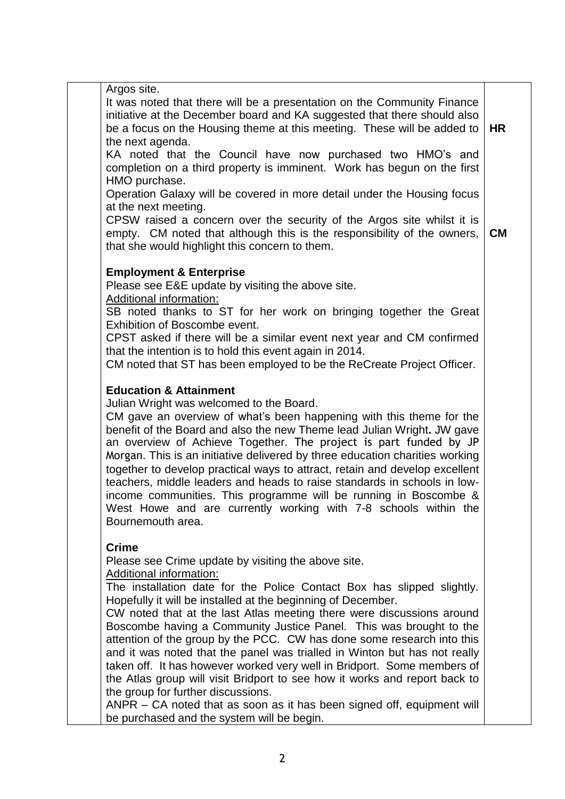Argos site.

It was noted that there will be a presentation on the Community Finance initiative at the December board and KA suggested that there should also be a focus on the Housing theme at this meeting. These will be added to the next agenda. **HR**

KA noted that the Council have now purchased two HMO's and completion on a third property is imminent. Work has begun on the first HMO purchase.

Operation Galaxy will be covered in more detail under the Housing focus at the next meeting.

CPSW raised a concern over the security of the Argos site whilst it is empty. CM noted that although this is the responsibility of the owners, that she would highlight this concern to them. **CM** 

# **Employment & Enterprise**

Please see E&E update by visiting the above site.

Additional information:

SB noted thanks to ST for her work on bringing together the Great Exhibition of Boscombe event.

CPST asked if there will be a similar event next year and CM confirmed that the intention is to hold this event again in 2014.

CM noted that ST has been employed to be the ReCreate Project Officer.

# **Education & Attainment**

Julian Wright was welcomed to the Board.

CM gave an overview of what's been happening with this theme for the benefit of the Board and also the new Theme lead Julian Wright**.** JW gave an overview of Achieve Together. The project is part funded by JP Morgan. This is an initiative delivered by three education charities working together to develop practical ways to attract, retain and develop excellent teachers, middle leaders and heads to raise standards in schools in lowincome communities. This programme will be running in Boscombe & West Howe and are currently working with 7-8 schools within the Bournemouth area.

### **Crime**

Please see Crime update by visiting the above site.

Additional information:

The installation date for the Police Contact Box has slipped slightly. Hopefully it will be installed at the beginning of December.

CW noted that at the last Atlas meeting there were discussions around Boscombe having a Community Justice Panel. This was brought to the attention of the group by the PCC. CW has done some research into this and it was noted that the panel was trialled in Winton but has not really taken off. It has however worked very well in Bridport. Some members of the Atlas group will visit Bridport to see how it works and report back to the group for further discussions.

ANPR – CA noted that as soon as it has been signed off, equipment will be purchased and the system will be begin.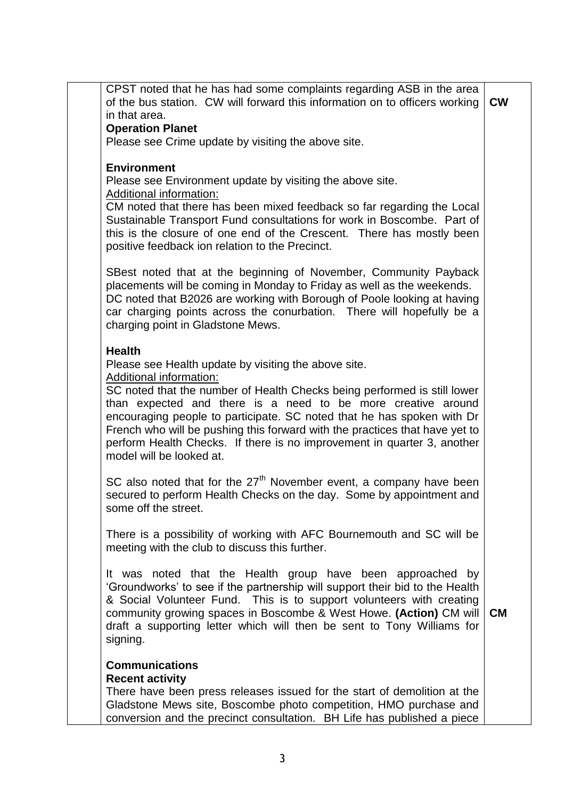| CPST noted that he has had some complaints regarding ASB in the area<br>of the bus station. CW will forward this information on to officers working | <b>CW</b> |
|-----------------------------------------------------------------------------------------------------------------------------------------------------|-----------|
| in that area.                                                                                                                                       |           |
| <b>Operation Planet</b>                                                                                                                             |           |
| Please see Crime update by visiting the above site.                                                                                                 |           |
| <b>Environment</b>                                                                                                                                  |           |
| Please see Environment update by visiting the above site.<br>Additional information:                                                                |           |
| CM noted that there has been mixed feedback so far regarding the Local                                                                              |           |
| Sustainable Transport Fund consultations for work in Boscombe. Part of                                                                              |           |
| this is the closure of one end of the Crescent. There has mostly been                                                                               |           |
| positive feedback ion relation to the Precinct.                                                                                                     |           |
|                                                                                                                                                     |           |
| SBest noted that at the beginning of November, Community Payback                                                                                    |           |
| placements will be coming in Monday to Friday as well as the weekends.                                                                              |           |
| DC noted that B2026 are working with Borough of Poole looking at having                                                                             |           |
| car charging points across the conurbation. There will hopefully be a<br>charging point in Gladstone Mews.                                          |           |
|                                                                                                                                                     |           |
| <b>Health</b>                                                                                                                                       |           |
| Please see Health update by visiting the above site.                                                                                                |           |
| Additional information:                                                                                                                             |           |
| SC noted that the number of Health Checks being performed is still lower                                                                            |           |
| than expected and there is a need to be more creative around                                                                                        |           |
| encouraging people to participate. SC noted that he has spoken with Dr                                                                              |           |
| French who will be pushing this forward with the practices that have yet to                                                                         |           |
| perform Health Checks. If there is no improvement in quarter 3, another<br>model will be looked at.                                                 |           |
|                                                                                                                                                     |           |
| SC also noted that for the $27th$ November event, a company have been                                                                               |           |
| secured to perform Health Checks on the day. Some by appointment and                                                                                |           |
| some off the street.                                                                                                                                |           |
|                                                                                                                                                     |           |
| There is a possibility of working with AFC Bournemouth and SC will be<br>meeting with the club to discuss this further.                             |           |
|                                                                                                                                                     |           |
| It was noted that the Health group have been approached by                                                                                          |           |
| 'Groundworks' to see if the partnership will support their bid to the Health                                                                        |           |
| & Social Volunteer Fund. This is to support volunteers with creating                                                                                |           |
| community growing spaces in Boscombe & West Howe. (Action) CM will                                                                                  | <b>CM</b> |
| draft a supporting letter which will then be sent to Tony Williams for                                                                              |           |
| signing.                                                                                                                                            |           |
| <b>Communications</b>                                                                                                                               |           |
| <b>Recent activity</b>                                                                                                                              |           |
| There have been press releases issued for the start of demolition at the                                                                            |           |
| Gladstone Mews site, Boscombe photo competition, HMO purchase and                                                                                   |           |
| conversion and the precinct consultation. BH Life has published a piece                                                                             |           |
|                                                                                                                                                     |           |